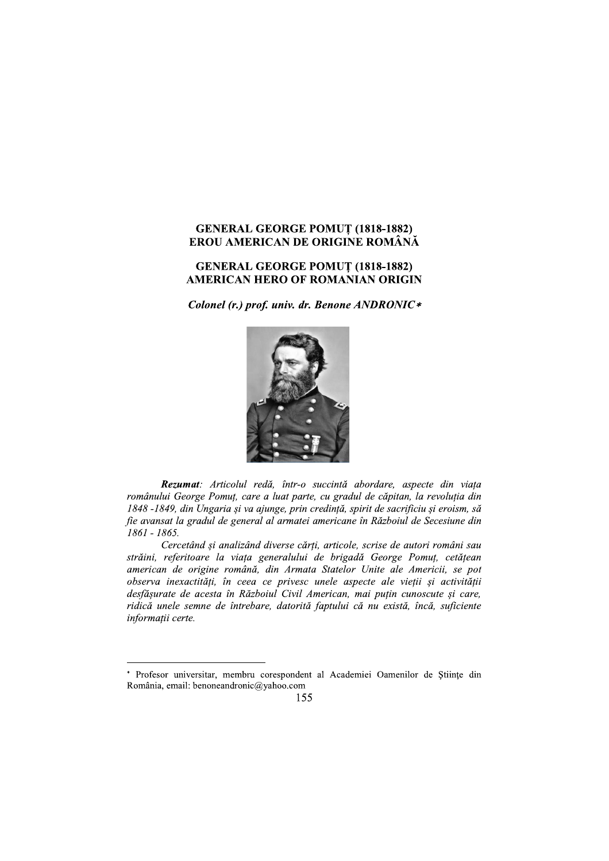## **GENERAL GEORGE POMUȚ (1818-1882)** EROU AMERICAN DE ORIGINE ROMÂNĂ

## **GENERAL GEORGE POMUT (1818-1882) AMERICAN HERO OF ROMANIAN ORIGIN**

Colonel (r.) prof. univ. dr. Benone ANDRONIC\*



Rezumat: Articolul redă, într-o succintă abordare, aspecte din viața românului George Pomuț, care a luat parte, cu gradul de căpitan, la revoluția din 1848 -1849, din Ungaria și va ajunge, prin credință, spirit de sacrificiu și eroism, să fie avansat la gradul de general al armatei americane în Războiul de Secesiune din 1861 - 1865.

Cercetând și analizând diverse cărti, articole, scrise de autori români sau străini, referitoare la viața generalului de brigadă George Pomuț, cetățean american de origine română, din Armata Statelor Unite ale Americii, se pot observa inexactități, în ceea ce privesc unele aspecte ale vieții și activității desfășurate de acesta în Războiul Civil American, mai puțin cunoscute și care, ridică unele semne de întrebare, datorită faptului că nu există, încă, suficiente informații certe.

<sup>\*</sup> Profesor universitar, membru corespondent al Academiei Oamenilor de Științe din România, email: benoneandronic@yahoo.com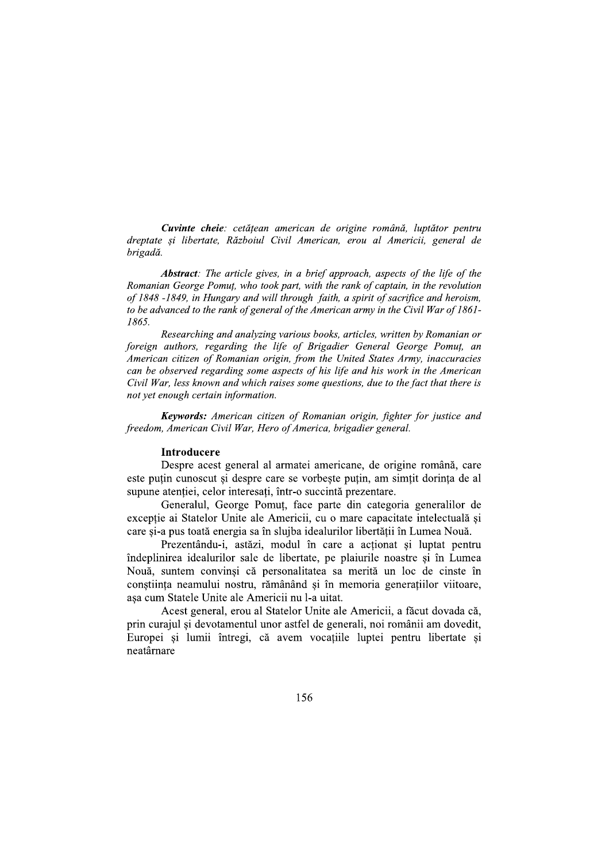Cuvinte cheie: cetățean american de origine română, luptător pentru dreptate și libertate, Războiul Civil American, erou al Americii, general de brigadă.

Abstract: The article gives, in a brief approach, aspects of the life of the Romanian George Pomut, who took part, with the rank of captain, in the revolution of 1848 -1849, in Hungary and will through faith, a spirit of sacrifice and heroism, to be advanced to the rank of general of the American army in the Civil War of 1861-1865.

Researching and analyzing various books, articles, written by Romanian or foreign authors, regarding the life of Brigadier General George Pomut, an American citizen of Romanian origin, from the United States Army, inaccuracies can be observed regarding some aspects of his life and his work in the American Civil War, less known and which raises some questions, due to the fact that there is not yet enough certain information.

**Keywords:** American citizen of Romanian origin, fighter for justice and freedom, American Civil War, Hero of America, brigadier general.

#### Introducere

Despre acest general al armatei americane, de origine română, care este puțin cunoscut și despre care se vorbește puțin, am simțit dorința de al supune atenției, celor interesați, într-o succintă prezentare.

Generalul, George Pomut, face parte din categoria generalilor de excepție ai Statelor Unite ale Americii, cu o mare capacitate intelectuală și care și-a pus toată energia sa în slujba idealurilor libertății în Lumea Nouă.

Prezentându-i, astăzi, modul în care a actionat si luptat pentru îndeplinirea idealurilor sale de libertate, pe plaiurile noastre și în Lumea Nouă, suntem convinși că personalitatea sa merită un loc de cinste în conștiința neamului nostru, rămânând și în memoria generațiilor viitoare, așa cum Statele Unite ale Americii nu l-a uitat.

Acest general, erou al Statelor Unite ale Americii, a făcut dovada că. prin curajul si devotamentul unor astfel de generali, noi românii am dovedit, Europei si lumii întregi, că avem vocatiile luptei pentru libertate si neatârnare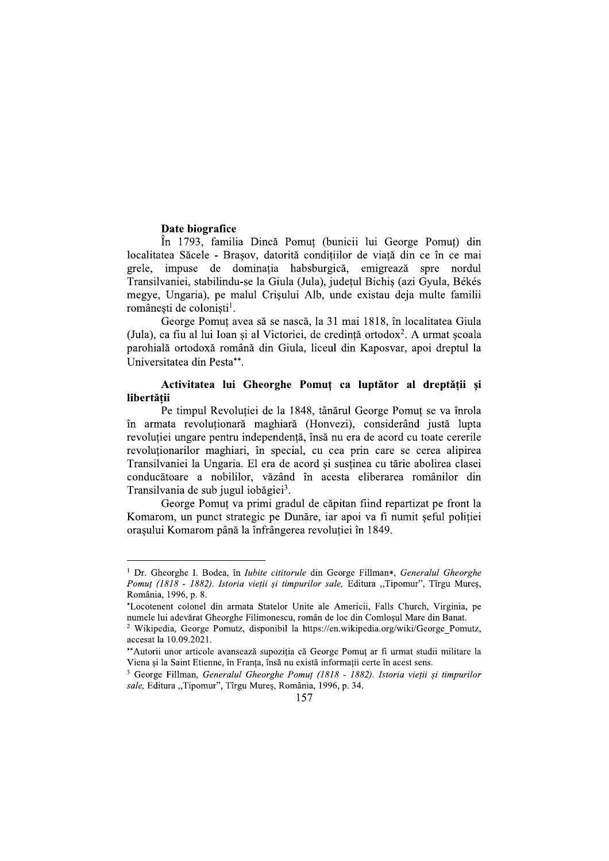#### Date biografice

În 1793, familia Dincă Pomut (bunicii lui George Pomut) din localitatea Săcele - Brasov, datorită conditiilor de viată din ce în ce mai grele, impuse de dominația habsburgică, emigrează spre nordul Transilvaniei, stabilindu-se la Giula (Jula), județul Bichiș (azi Gyula, Békés megye, Ungaria), pe malul Crișului Alb, unde existau deja multe familii românești de coloniști<sup>1</sup>.

George Pomut avea să se nască, la 31 mai 1818, în localitatea Giula (Jula), ca fiu al lui Ioan și al Victoriei, de credință ortodox<sup>2</sup>. A urmat școala parohială ortodoxă română din Giula, liceul din Kaposvar, apoi dreptul la Universitatea din Pesta\*\*.

## Activitatea lui Gheorghe Pomuț ca luptător al dreptății și libertății

Pe timpul Revolutiei de la 1848, tânărul George Pomut se va înrola în armata revoluționară maghiară (Honvezi), considerând justă lupta revoluției ungare pentru independență, însă nu era de acord cu toate cererile revolutionarilor maghiari, în special, cu cea prin care se cerea alipirea Transilvaniei la Ungaria. El era de acord și susținea cu tărie abolirea clasei conducătoare a nobililor, văzând în acesta eliberarea românilor din Transilvania de sub jugul iobăgiei<sup>3</sup>.

George Pomuț va primi gradul de căpitan fiind repartizat pe front la Komarom, un punct strategic pe Dunăre, iar apoi va fi numit seful politiei orașului Komarom până la înfrângerea revoluției în 1849.

<sup>&</sup>lt;sup>1</sup> Dr. Gheorghe I. Bodea, în *Iubite cititorule* din George Fillman\*, *Generalul Gheorghe* Pomuț (1818 - 1882). Istoria vieții și timpurilor sale, Editura "Tipomur", Tîrgu Mureș, România, 1996, p. 8.

<sup>\*</sup>Locotenent colonel din armata Statelor Unite ale Americii, Falls Church, Virginia, pe numele lui adevărat Gheorghe Filimonescu, român de loc din Comlosul Mare din Banat.

<sup>&</sup>lt;sup>2</sup> Wikipedia, George Pomutz, disponibil la https://en.wikipedia.org/wiki/George Pomutz, accesat la 10.09.2021.

<sup>\*\*</sup>Autorii unor articole avansează supoziția că George Pomuț ar fi urmat studii militare la Viena și la Saint Etienne, în Franța, însă nu există informații certe în acest sens.

 $3$  George Fillman, Generalul Gheorghe Pomut (1818 - 1882). Istoria vietii și timpurilor sale, Editura "Tipomur", Tîrgu Mureş, România, 1996, p. 34.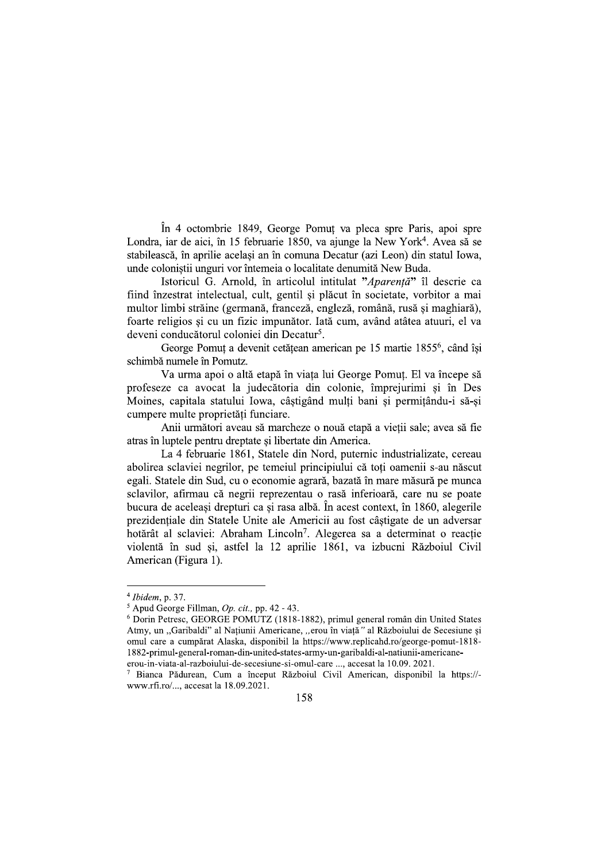În 4 octombrie 1849, George Pomuț va pleca spre Paris, apoi spre Londra, iar de aici, în 15 februarie 1850, va ajunge la New York<sup>4</sup>. Avea să se stabilească, în aprilie acelasi an în comuna Decatur (azi Leon) din statul Iowa, unde coloniștii unguri vor întemeia o localitate denumită New Buda.

Istoricul G. Arnold, în articolul intitulat "Aparență" îl descrie ca fiind înzestrat intelectual, cult, gentil și plăcut în societate, vorbitor a mai multor limbi străine (germană, franceză, engleză, română, rusă și maghiară), foarte religios si cu un fizic impunător. Iată cum, având atâtea atuuri, el va deveni conducătorul coloniei din Decatur<sup>5</sup>.

George Pomuț a devenit cetățean american pe 15 martie 1855<sup>6</sup>, când își schimbă numele în Pomutz.

Va urma apoi o altă etapă în viața lui George Pomuț. El va începe să profeseze ca avocat la judecătoria din colonie, împrejurimi si în Des Moines, capitala statului Iowa, câștigând mulți bani și permițându-i să-și cumpere multe proprietăti funciare.

Anii următori aveau să marcheze o nouă etapă a vietii sale; avea să fie atras în luptele pentru dreptate și libertate din America.

La 4 februarie 1861, Statele din Nord, puternic industrializate, cereau abolirea sclaviei negrilor, pe temeiul principiului că toti oamenii s-au născut egali. Statele din Sud, cu o economie agrară, bazată în mare măsură pe munca sclavilor, afirmau că negrii reprezentau o rasă inferioară, care nu se poate bucura de aceleași drepturi ca și rasa albă. În acest context, în 1860, alegerile prezidențiale din Statele Unite ale Americii au fost câștigate de un adversar hotărât al sclaviei: Abraham Lincoln<sup>7</sup>. Alegerea sa a determinat o reactie violentă în sud si, astfel la 12 aprilie 1861, va izbucni Războiul Civil American (Figura 1).

 $4$  Ibidem, p. 37.

 $5$  Apud George Fillman, Op. cit., pp. 42 - 43.

<sup>&</sup>lt;sup>6</sup> Dorin Petresc, GEORGE POMUTZ (1818-1882), primul general român din United States Atmy, un "Garibaldi" al Națiunii Americane, "erou în viață" al Războiului de Secesiune și omul care a cumpărat Alaska, disponibil la https://www.replicahd.ro/george-pomut-1818-1882-primul-general-roman-din-united-states-army-un-garibaldi-al-natiunii-americaneerou-in-viata-al-razboiului-de-secesiune-si-omul-care ..., accesat la 10.09. 2021.

Bianca Pădurean, Cum a început Războiul Civil American, disponibil la https://www.rfi.ro/..., accesat la 18.09.2021.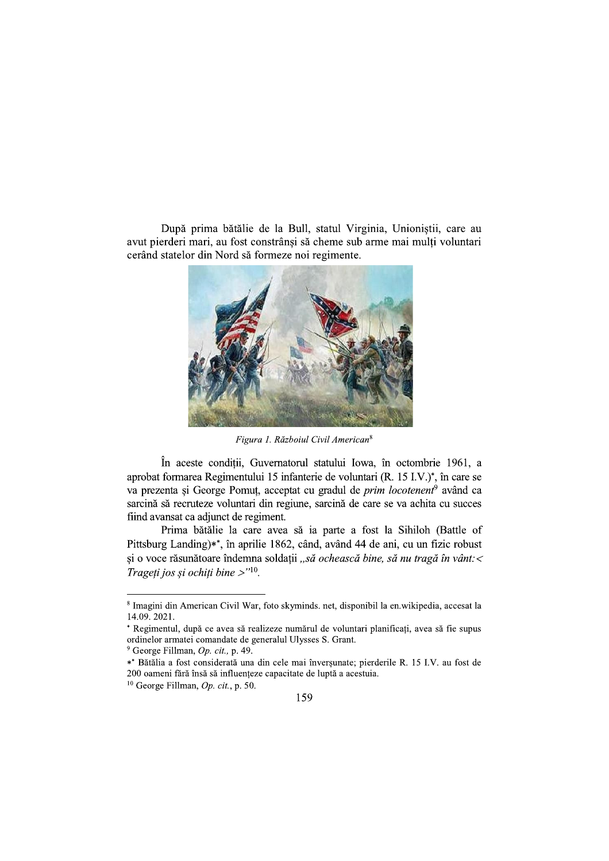După prima bătălie de la Bull, statul Virginia, Unioniștii, care au avut pierderi mari, au fost constrânsi să cheme sub arme mai multi voluntari cerând statelor din Nord să formeze noi regimente.



Figura 1. Războiul Civil American<sup>8</sup>

În aceste condiții, Guvernatorul statului Iowa, în octombrie 1961, a aprobat formarea Regimentului 15 infanterie de voluntari (R, 15 I.V.)<sup>\*</sup>, în care se va prezenta și George Pomuț, acceptat cu gradul de *prim locotenent<sup>9</sup>* având ca sarcină să recruteze voluntari din regiune, sarcină de care se va achita cu succes fiind avansat ca adjunct de regiment.

Prima bătălie la care avea să ia parte a fost la Sihiloh (Battle of Pittsburg Landing)\*\*, în aprilie 1862, când, având 44 de ani, cu un fizic robust și o voce răsunătoare îndemna soldații "să ochească bine, să nu tragă în vânt: < Trageti jos și ochiți bine  $>$ "<sup>10</sup>.

<sup>8</sup> Imagini din American Civil War, foto skyminds. net, disponibil la en.wikipedia, accesat la 14.09.2021.

<sup>\*</sup> Regimentul, după ce avea să realizeze numărul de voluntari planificati, avea să fie supus ordinelor armatei comandate de generalul Ulysses S. Grant.

<sup>&</sup>lt;sup>9</sup> George Fillman, Op. cit., p. 49.

<sup>\*\*</sup> Bătălia a fost considerată una din cele mai înverșunate; pierderile R. 15 I.V. au fost de 200 oameni fără însă să influențeze capacitate de luptă a acestuia.

 $10$  George Fillman, Op. cit., p. 50.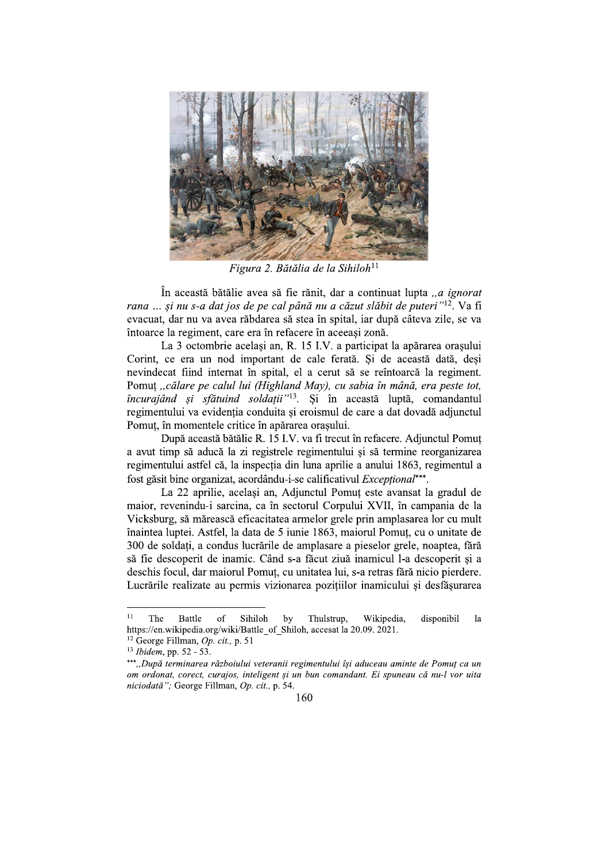

Figura 2. Bătălia de la Sihiloh<sup>11</sup>

În această bătălie avea să fie rănit, dar a continuat lupta ..*a ignorat* rana ... și nu s-a dat jos de pe cal până nu a căzut slăbit de puteri"<sup>12</sup>. Va fi evacuat, dar nu va avea răbdarea să stea în spital, iar după câteva zile, se va întoarce la regiment, care era în refacere în aceeasi zonă.

La 3 octombrie același an, R. 15 I.V. a participat la apărarea orașului Corint, ce era un nod important de cale ferată. Si de această dată, desi nevindecat fiind internat în spital, el a cerut să se reîntoarcă la regiment. Pomuț "călare pe calul lui (Highland May), cu sabia în mână, era peste tot, încurajând și sfătuind soldatii"<sup>13</sup>. Si în această luptă, comandantul regimentului va evidenția conduita și eroismul de care a dat dovadă adjunctul Pomut, în momentele critice în apărarea orașului.

După această bătălie R. 15 I.V. va fi trecut în refacere. Adjunctul Pomuț a avut timp să aducă la zi registrele regimentului și să termine reorganizarea regimentului astfel că, la inspectia din luna aprilie a anului 1863, regimentul a fost găsit bine organizat, acordându-i-se calificativul *Exceptional*\*\*\*.

La 22 aprilie, acelasi an, Adjunctul Pomut este avansat la gradul de maior, revenindu-i sarcina, ca în sectorul Corpului XVII, în campania de la Vicksburg, să mărească eficacitatea armelor grele prin amplasarea lor cu mult înaintea luptei. Astfel, la data de 5 iunie 1863, maiorul Pomut, cu o unitate de 300 de soldați, a condus lucrările de amplasare a pieselor grele, noaptea, fără să fie descoperit de inamic. Când s-a făcut ziuă inamicul l-a descoperit și a deschis focul, dar maiorul Pomut, cu unitatea lui, s-a retras fără nicio pierdere. Lucrările realizate au permis vizionarea pozițiilor inamicului și desfăsurarea

 $11$ The **Battle** of Sihiloh Thulstrup, Wikipedia, disponibil by la https://en.wikipedia.org/wiki/Battle of Shiloh, accesat la 20.09. 2021.

<sup>&</sup>lt;sup>12</sup> George Fillman, *Op. cit.*, p. 51

<sup>&</sup>lt;sup>13</sup> Ibidem, pp. 52 - 53.

<sup>\*\*\*.,</sup>După terminarea războiului veteranii regimentului își aduceau aminte de Pomuț ca un om ordonat, corect, curajos, inteligent și un bun comandant. Ei spuneau că nu-l vor uita niciodată"; George Fillman, Op. cit., p. 54.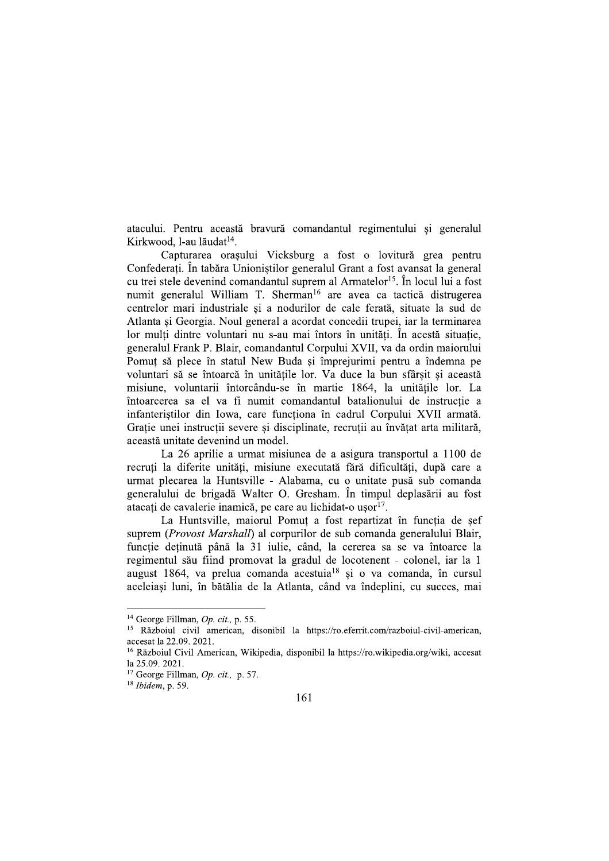atacului. Pentru această bravură comandantul regimentului și generalul Kirkwood, l-au lăudat<sup>14</sup>.

Capturarea orașului Vicksburg a fost o lovitură grea pentru Confederați. În tabăra Unioniștilor generalul Grant a fost avansat la general cu trei stele devenind comandantul suprem al Armatelor<sup>15</sup>. În locul lui a fost numit generalul William T. Sherman<sup>16</sup> are avea ca tactică distrugerea centrelor mari industriale și a nodurilor de cale ferată, situate la sud de Atlanta si Georgia. Noul general a acordat concedii trupei, iar la terminarea lor mulți dintre voluntari nu s-au mai întors în unități. În acestă situație, generalul Frank P. Blair, comandantul Corpului XVII, va da ordin maiorului Pomut să plece în statul New Buda și împrejurimi pentru a îndemna pe voluntari să se întoarcă în unitățile lor. Va duce la bun sfârșit și această misiune, voluntarii întorcându-se în martie 1864, la unitătile lor. La întoarcerea sa el va fi numit comandantul batalionului de instructie a infanteriștilor din Iowa, care funcționa în cadrul Corpului XVII armată. Gratie unei instructii severe si disciplinate, recrutii au învătat arta militară, această unitate devenind un model.

La 26 aprilie a urmat misiunea de a asigura transportul a 1100 de recruti la diferite unităti, misiune executată fără dificultăti, după care a urmat plecarea la Huntsville - Alabama, cu o unitate pusă sub comanda generalului de brigadă Walter O. Gresham. În timpul deplasării au fost atacați de cavalerie inamică, pe care au lichidat-o usor<sup>17</sup>.

La Huntsville, maiorul Pomuț a fost repartizat în funcția de șef suprem (*Provost Marshall*) al corpurilor de sub comanda generalului Blair, funcție deținută până la 31 iulie, când, la cererea sa se va întoarce la regimentul său fiind promovat la gradul de locotenent - colonel, iar la 1 august 1864, va prelua comanda acestuia<sup>18</sup> și o va comanda, în cursul aceleiași luni, în bătălia de la Atlanta, când va îndeplini, cu succes, mai

<sup>&</sup>lt;sup>14</sup> George Fillman, Op. cit., p. 55.

<sup>&</sup>lt;sup>15</sup> Războiul civil american, disonibil la https://ro.eferrit.com/razboiul-civil-american, accesat la 22.09. 2021.

<sup>&</sup>lt;sup>16</sup> Războiul Civil American, Wikipedia, disponibil la https://ro.wikipedia.org/wiki, accesat la 25.09. 2021.

<sup>&</sup>lt;sup>17</sup> George Fillman, *Op. cit.*, p. 57.

 $18$  Ibidem, p. 59.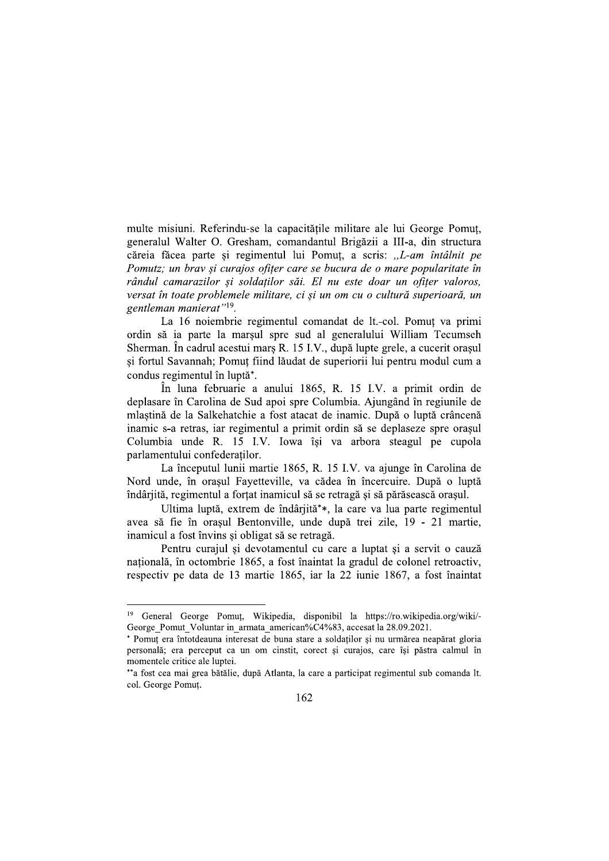multe misiuni. Referindu-se la capacitățile militare ale lui George Pomuț, generalul Walter O. Gresham, comandantul Brigăzii a III-a, din structura căreia făcea parte și regimentul lui Pomut, a scris: ..L-am întâlnit pe Pomutz; un brav și curajos ofițer care se bucura de o mare popularitate în rândul camarazilor și soldatilor săi. El nu este doar un ofiter valoros, versat în toate problemele militare, ci și un om cu o cultură superioară, un gentleman manierat"<sup>19</sup>.

La 16 noiembrie regimentul comandat de lt.-col. Pomut va primi ordin să ia parte la marșul spre sud al generalului William Tecumseh Sherman. În cadrul acestui marș R. 15 I.V., după lupte grele, a cucerit orașul si fortul Savannah; Pomut fiind lăudat de superiorii lui pentru modul cum a condus regimentul în luptă\*.

În luna februarie a anului 1865, R. 15 I.V. a primit ordin de deplasare în Carolina de Sud apoi spre Columbia. Ajungând în regiunile de mlaștină de la Salkehatchie a fost atacat de inamic. După o luptă crâncenă inamic s-a retras, iar regimentul a primit ordin să se deplaseze spre orașul Columbia unde R. 15 I.V. Iowa își va arbora steagul pe cupola parlamentului confederaților.

La începutul lunii martie 1865, R. 15 I.V. va ajunge în Carolina de Nord unde, în orașul Fayetteville, va cădea în încercuire. După o luptă îndârjită, regimentul a forțat inamicul să se retragă și să părăsească orașul.

Ultima luptă, extrem de îndârjită\*\*, la care va lua parte regimentul avea să fie în orașul Bentonville, unde după trei zile, 19 - 21 martie, inamicul a fost învins si obligat să se retragă.

Pentru curajul și devotamentul cu care a luptat și a servit o cauză națională, în octombrie 1865, a fost înaintat la gradul de colonel retroactiv, respectiv pe data de 13 martie 1865, iar la 22 iunie 1867, a fost înaintat

<sup>19</sup> General George Pomuț, Wikipedia, disponibil la https://ro.wikipedia.org/wiki/-George Pomut Voluntar in armata american%C4%83, accesat la 28.09.2021.

<sup>\*</sup> Pomut era întotdeauna interesat de buna stare a soldaților și nu urmărea neapărat gloria personală; era perceput ca un om cinstit, corect și curajos, care își păstra calmul în momentele critice ale luptei.

<sup>\*\*</sup>a fost cea mai grea bătălie, după Atlanta, la care a participat regimentul sub comanda lt. col. George Pomuț.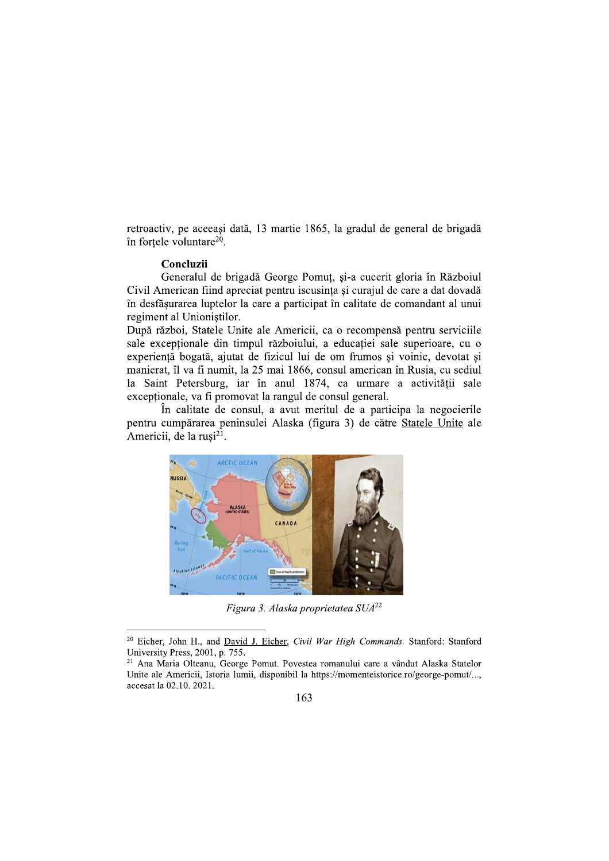retroactiv, pe aceeași dată, 13 martie 1865, la gradul de general de brigadă în fortele voluntare<sup>20</sup>.

### Concluzii

Generalul de brigadă George Pomuț, și-a cucerit gloria în Războiul Civil American fiind apreciat pentru iscusința și curajul de care a dat dovadă în desfăsurarea luptelor la care a participat în calitate de comandant al unui regiment al Unioniștilor.

După război, Statele Unite ale Americii, ca o recompensă pentru serviciile sale exceptionale din timpul războiului, a educației sale superioare, cu o experientă bogată, ajutat de fizicul lui de om frumos si voinic, devotat si manierat, îl va fi numit, la 25 mai 1866, consul american în Rusia, cu sediul la Saint Petersburg, iar în anul 1874, ca urmare a activității sale exceptionale, va fi promovat la rangul de consul general.

În calitate de consul, a avut meritul de a participa la negocierile pentru cumpărarea peninsulei Alaska (figura 3) de către Statele Unite ale Americii, de la rusi<sup>21</sup>.



Figura 3. Alaska proprietatea SUA<sup>22</sup>

<sup>&</sup>lt;sup>20</sup> Eicher, John H., and David J. Eicher, Civil War High Commands. Stanford: Stanford University Press, 2001, p. 755.

<sup>&</sup>lt;sup>21</sup> Ana Maria Olteanu, George Pomut. Povestea romanului care a vândut Alaska Statelor Unite ale Americii, Istoria lumii, disponibil la https://momenteistorice.ro/george-pomut/..., accesat la 02.10. 2021.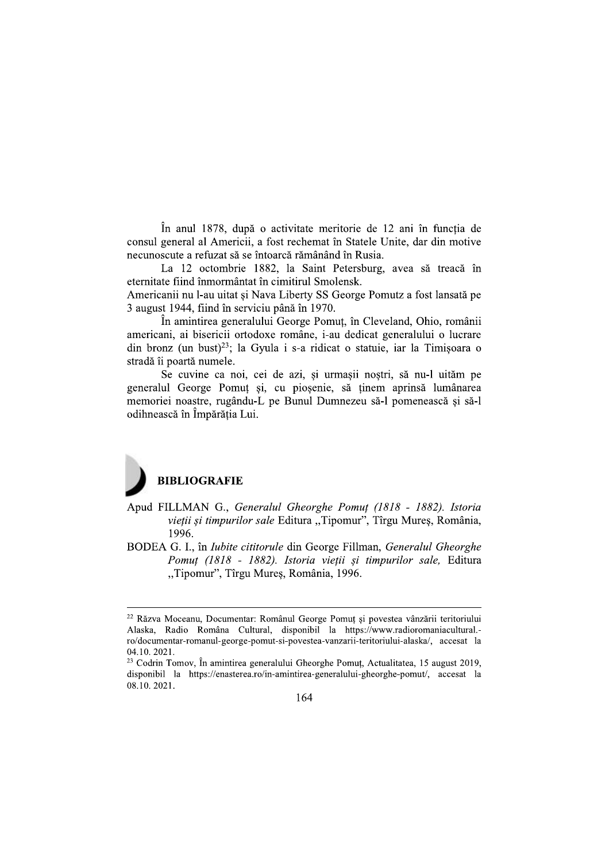În anul 1878, după o activitate meritorie de 12 ani în functia de consul general al Americii, a fost rechemat în Statele Unite, dar din motive necunoscute a refuzat să se întoarcă rămânând în Rusia.

La 12 octombrie 1882, la Saint Petersburg, avea să treacă în eternitate fiind înmormântat în cimitirul Smolensk.

Americanii nu l-au uitat și Nava Liberty SS George Pomutz a fost lansată pe 3 august 1944, fiind în serviciu până în 1970.

În amintirea generalului George Pomut, în Cleveland, Ohio, românii americani, ai bisericii ortodoxe române, i-au dedicat generalului o lucrare din bronz (un bust)<sup>23</sup>; la Gyula i s-a ridicat o statuie, iar la Timișoara o stradă îi poartă numele.

Se cuvine ca noi, cei de azi, și urmașii noștri, să nu-l uităm pe generalul George Pomut si, cu piosenie, să tinem aprinsă lumânarea memoriei noastre, rugându-L pe Bunul Dumnezeu să-l pomenească și să-l odihnească în Împărăția Lui.

# **BIBLIOGRAFIE**

- Apud FILLMAN G., Generalul Gheorghe Pomuț (1818 1882). Istoria vieții și timpurilor sale Editura "Tipomur", Tîrgu Mureș, România, 1996.
- BODEA G. I., în *Iubite cititorule* din George Fillman, *Generalul Gheorghe* Pomuț (1818 - 1882). Istoria vieții și timpurilor sale, Editura "Tipomur", Tîrgu Mureş, România, 1996.

<sup>&</sup>lt;sup>22</sup> Răzva Moceanu, Documentar: Românul George Pomuț și povestea vânzării teritoriului Alaska, Radio Româna Cultural, disponibil la https://www.radioromaniacultural.ro/documentar-romanul-george-pomut-si-povestea-vanzarii-teritoriului-alaska/, accesat la 04.10.2021.

<sup>&</sup>lt;sup>23</sup> Codrin Tomov, În amintirea generalului Gheorghe Pomut, Actualitatea, 15 august 2019, disponibil la https://enasterea.ro/in-amintirea-generalului-gheorghe-pomut/, accesat la 08.10.2021.